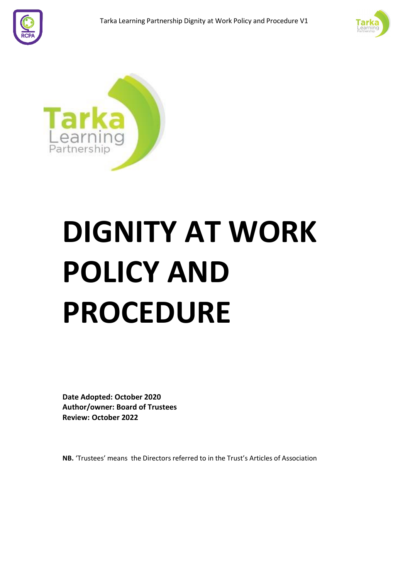





# **DIGNITY AT WORK POLICY AND PROCEDURE**

**Date Adopted: October 2020 Author/owner: Board of Trustees Review: October 2022**

**NB.** 'Trustees' means the Directors referred to in the Trust's Articles of Association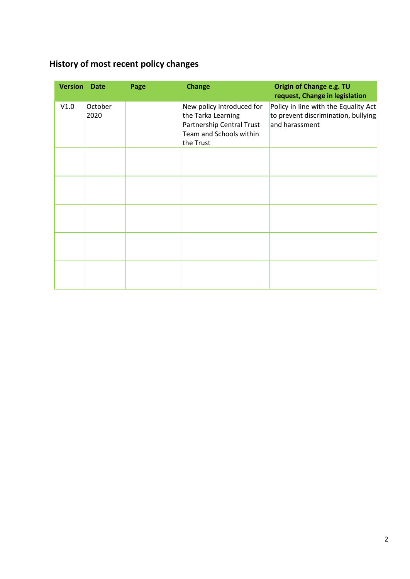# <span id="page-1-0"></span>**History of most recent policy changes**

| <b>Version</b> | <b>Date</b>     | Page | <b>Change</b>                                                                                                        | Origin of Change e.g. TU<br>request, Change in legislation                                    |
|----------------|-----------------|------|----------------------------------------------------------------------------------------------------------------------|-----------------------------------------------------------------------------------------------|
| V1.0           | October<br>2020 |      | New policy introduced for<br>the Tarka Learning<br>Partnership Central Trust<br>Team and Schools within<br>the Trust | Policy in line with the Equality Act<br>to prevent discrimination, bullying<br>and harassment |
|                |                 |      |                                                                                                                      |                                                                                               |
|                |                 |      |                                                                                                                      |                                                                                               |
|                |                 |      |                                                                                                                      |                                                                                               |
|                |                 |      |                                                                                                                      |                                                                                               |
|                |                 |      |                                                                                                                      |                                                                                               |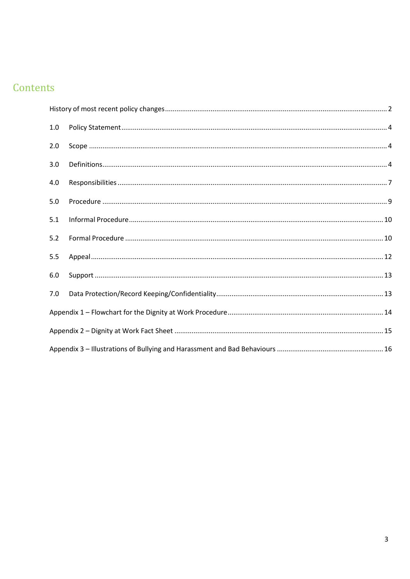# Contents

| 1.0 |  |  |  |  |
|-----|--|--|--|--|
| 2.0 |  |  |  |  |
| 3.0 |  |  |  |  |
| 4.0 |  |  |  |  |
| 5.0 |  |  |  |  |
| 5.1 |  |  |  |  |
| 5.2 |  |  |  |  |
| 5.5 |  |  |  |  |
| 6.0 |  |  |  |  |
| 7.0 |  |  |  |  |
|     |  |  |  |  |
|     |  |  |  |  |
|     |  |  |  |  |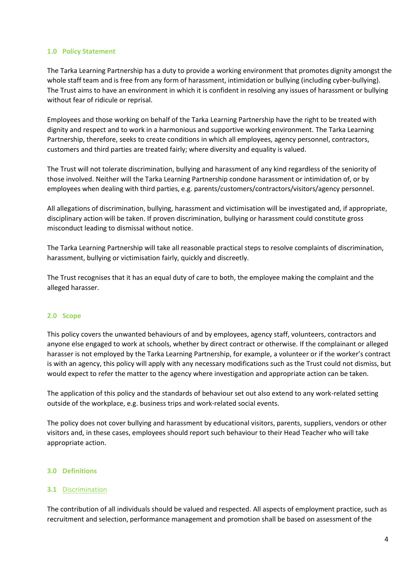#### <span id="page-3-0"></span>**1.0 Policy Statement**

The Tarka Learning Partnership has a duty to provide a working environment that promotes dignity amongst the whole staff team and is free from any form of harassment, intimidation or bullying (including cyber-bullying). The Trust aims to have an environment in which it is confident in resolving any issues of harassment or bullying without fear of ridicule or reprisal.

Employees and those working on behalf of the Tarka Learning Partnership have the right to be treated with dignity and respect and to work in a harmonious and supportive working environment. The Tarka Learning Partnership, therefore, seeks to create conditions in which all employees, agency personnel, contractors, customers and third parties are treated fairly; where diversity and equality is valued.

The Trust will not tolerate discrimination, bullying and harassment of any kind regardless of the seniority of those involved. Neither will the Tarka Learning Partnership condone harassment or intimidation of, or by employees when dealing with third parties, e.g. parents/customers/contractors/visitors/agency personnel.

All allegations of discrimination, bullying, harassment and victimisation will be investigated and, if appropriate, disciplinary action will be taken. If proven discrimination, bullying or harassment could constitute gross misconduct leading to dismissal without notice.

The Tarka Learning Partnership will take all reasonable practical steps to resolve complaints of discrimination, harassment, bullying or victimisation fairly, quickly and discreetly.

The Trust recognises that it has an equal duty of care to both, the employee making the complaint and the alleged harasser.

# <span id="page-3-1"></span>**2.0 Scope**

This policy covers the unwanted behaviours of and by employees, agency staff, volunteers, contractors and anyone else engaged to work at schools, whether by direct contract or otherwise. If the complainant or alleged harasser is not employed by the Tarka Learning Partnership, for example, a volunteer or if the worker's contract is with an agency, this policy will apply with any necessary modifications such as the Trust could not dismiss, but would expect to refer the matter to the agency where investigation and appropriate action can be taken.

The application of this policy and the standards of behaviour set out also extend to any work-related setting outside of the workplace, e.g. business trips and work-related social events.

The policy does not cover bullying and harassment by educational visitors, parents, suppliers, vendors or other visitors and, in these cases, employees should report such behaviour to their Head Teacher who will take appropriate action.

#### <span id="page-3-2"></span>**3.0 Definitions**

# **3.1** Discrimination

The contribution of all individuals should be valued and respected. All aspects of employment practice, such as recruitment and selection, performance management and promotion shall be based on assessment of the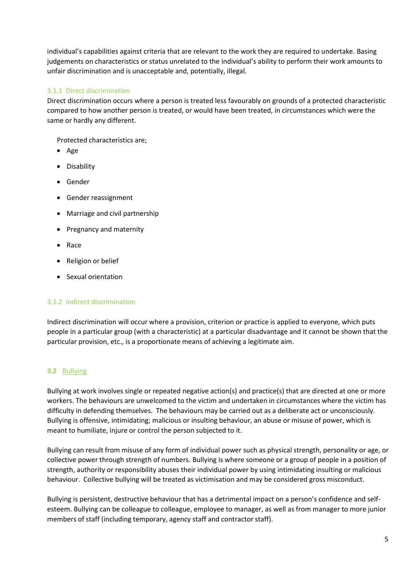individual's capabilities against criteria that are relevant to the work they are required to undertake. Basing judgements on characteristics or status unrelated to the individual's ability to perform their work amounts to unfair discrimination and is unacceptable and, potentially, illegal.

# 3.1.1 Direct discrimination

Direct discrimination occurs where a person is treated less favourably on grounds of a protected characteristic compared to how another person is treated, or would have been treated, in circumstances which were the same or hardly any different.

Protected characteristics are;

- Age
- Disability
- Gender
- Gender reassignment
- Marriage and civil partnership
- Pregnancy and maternity
- Race
- Religion or belief
- Sexual orientation

# 3.1.2 Indirect discrimination

Indirect discrimination will occur where a provision, criterion or practice is applied to everyone, which puts people in a particular group (with a characteristic) at a particular disadvantage and it cannot be shown that the particular provision, etc., is a proportionate means of achieving a legitimate aim.

# **3.2** Bullying

Bullying at work involves single or repeated negative action(s) and practice(s) that are directed at one or more workers. The behaviours are unwelcomed to the victim and undertaken in circumstances where the victim has difficulty in defending themselves. The behaviours may be carried out as a deliberate act or unconsciously. Bullying is offensive, intimidating; malicious or insulting behaviour, an abuse or misuse of power, which is meant to humiliate, injure or control the person subjected to it.

Bullying can result from misuse of any form of individual power such as physical strength, personality or age, or collective power through strength of numbers. Bullying is where someone or a group of people in a position of strength, authority or responsibility abuses their individual power by using intimidating insulting or malicious behaviour. Collective bullying will be treated as victimisation and may be considered gross misconduct.

Bullying is persistent, destructive behaviour that has a detrimental impact on a person's confidence and selfesteem. Bullying can be colleague to colleague, employee to manager, as well as from manager to more junior members of staff (including temporary, agency staff and contractor staff).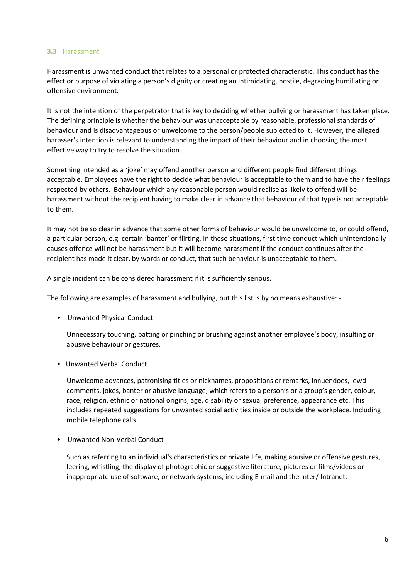#### **3.3** Harassment

Harassment is unwanted conduct that relates to a personal or protected characteristic. This conduct has the effect or purpose of violating a person's dignity or creating an intimidating, hostile, degrading humiliating or offensive environment.

It is not the intention of the perpetrator that is key to deciding whether bullying or harassment has taken place. The defining principle is whether the behaviour was unacceptable by reasonable, professional standards of behaviour and is disadvantageous or unwelcome to the person/people subjected to it. However, the alleged harasser's intention is relevant to understanding the impact of their behaviour and in choosing the most effective way to try to resolve the situation.

Something intended as a 'joke' may offend another person and different people find different things acceptable. Employees have the right to decide what behaviour is acceptable to them and to have their feelings respected by others. Behaviour which any reasonable person would realise as likely to offend will be harassment without the recipient having to make clear in advance that behaviour of that type is not acceptable to them.

It may not be so clear in advance that some other forms of behaviour would be unwelcome to, or could offend, a particular person, e.g. certain 'banter' or flirting. In these situations, first time conduct which unintentionally causes offence will not be harassment but it will become harassment if the conduct continues after the recipient has made it clear, by words or conduct, that such behaviour is unacceptable to them.

A single incident can be considered harassment if it is sufficiently serious.

The following are examples of harassment and bullying, but this list is by no means exhaustive: -

• Unwanted Physical Conduct

Unnecessary touching, patting or pinching or brushing against another employee's body, insulting or abusive behaviour or gestures.

• Unwanted Verbal Conduct

Unwelcome advances, patronising titles or nicknames, propositions or remarks, innuendoes, lewd comments, jokes, banter or abusive language, which refers to a person's or a group's gender, colour, race, religion, ethnic or national origins, age, disability or sexual preference, appearance etc. This includes repeated suggestions for unwanted social activities inside or outside the workplace. Including mobile telephone calls.

• Unwanted Non-Verbal Conduct

Such as referring to an individual's characteristics or private life, making abusive or offensive gestures, leering, whistling, the display of photographic or suggestive literature, pictures or films/videos or inappropriate use of software, or network systems, including E-mail and the Inter/ Intranet.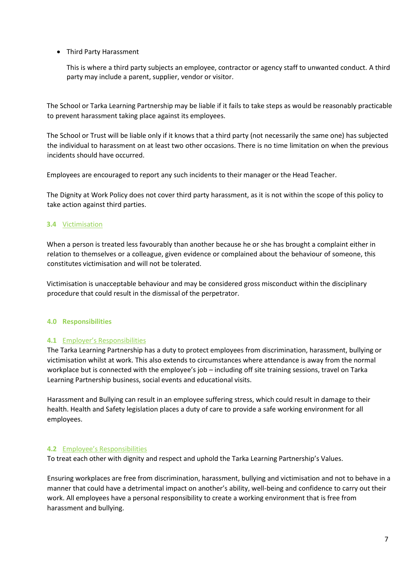• Third Party Harassment

This is where a third party subjects an employee, contractor or agency staff to unwanted conduct. A third party may include a parent, supplier, vendor or visitor.

The School or Tarka Learning Partnership may be liable if it fails to take steps as would be reasonably practicable to prevent harassment taking place against its employees.

The School or Trust will be liable only if it knows that a third party (not necessarily the same one) has subjected the individual to harassment on at least two other occasions. There is no time limitation on when the previous incidents should have occurred.

Employees are encouraged to report any such incidents to their manager or the Head Teacher.

The Dignity at Work Policy does not cover third party harassment, as it is not within the scope of this policy to take action against third parties.

# **3.4** Victimisation

When a person is treated less favourably than another because he or she has brought a complaint either in relation to themselves or a colleague, given evidence or complained about the behaviour of someone, this constitutes victimisation and will not be tolerated.

Victimisation is unacceptable behaviour and may be considered gross misconduct within the disciplinary procedure that could result in the dismissal of the perpetrator.

#### <span id="page-6-0"></span>**4.0 Responsibilities**

#### **4.1** Employer's Responsibilities

The Tarka Learning Partnership has a duty to protect employees from discrimination, harassment, bullying or victimisation whilst at work. This also extends to circumstances where attendance is away from the normal workplace but is connected with the employee's job – including off site training sessions, travel on Tarka Learning Partnership business, social events and educational visits.

Harassment and Bullying can result in an employee suffering stress, which could result in damage to their health. Health and Safety legislation places a duty of care to provide a safe working environment for all employees.

#### **4.2** Employee's Responsibilities

To treat each other with dignity and respect and uphold the Tarka Learning Partnership's Values.

Ensuring workplaces are free from discrimination, harassment, bullying and victimisation and not to behave in a manner that could have a detrimental impact on another's ability, well-being and confidence to carry out their work. All employees have a personal responsibility to create a working environment that is free from harassment and bullying.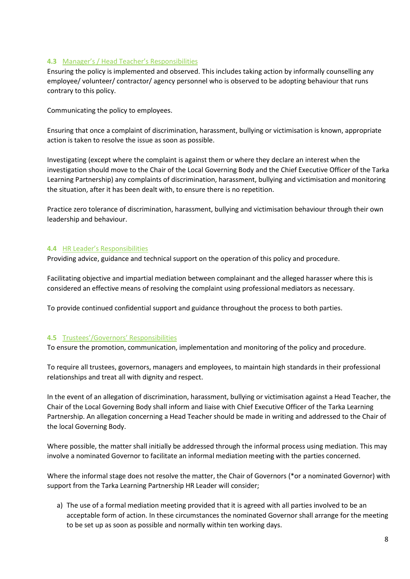# **4.3** Manager's / Head Teacher's Responsibilities

Ensuring the policy is implemented and observed. This includes taking action by informally counselling any employee/ volunteer/ contractor/ agency personnel who is observed to be adopting behaviour that runs contrary to this policy.

Communicating the policy to employees.

Ensuring that once a complaint of discrimination, harassment, bullying or victimisation is known, appropriate action is taken to resolve the issue as soon as possible.

Investigating (except where the complaint is against them or where they declare an interest when the investigation should move to the Chair of the Local Governing Body and the Chief Executive Officer of the Tarka Learning Partnership) any complaints of discrimination, harassment, bullying and victimisation and monitoring the situation, after it has been dealt with, to ensure there is no repetition.

Practice zero tolerance of discrimination, harassment, bullying and victimisation behaviour through their own leadership and behaviour.

#### **4.4** HR Leader's Responsibilities

Providing advice, guidance and technical support on the operation of this policy and procedure.

Facilitating objective and impartial mediation between complainant and the alleged harasser where this is considered an effective means of resolving the complaint using professional mediators as necessary.

To provide continued confidential support and guidance throughout the process to both parties.

#### **4.5** Trustees'/Governors' Responsibilities

To ensure the promotion, communication, implementation and monitoring of the policy and procedure.

To require all trustees, governors, managers and employees, to maintain high standards in their professional relationships and treat all with dignity and respect.

In the event of an allegation of discrimination, harassment, bullying or victimisation against a Head Teacher, the Chair of the Local Governing Body shall inform and liaise with Chief Executive Officer of the Tarka Learning Partnership. An allegation concerning a Head Teacher should be made in writing and addressed to the Chair of the local Governing Body.

Where possible, the matter shall initially be addressed through the informal process using mediation. This may involve a nominated Governor to facilitate an informal mediation meeting with the parties concerned.

Where the informal stage does not resolve the matter, the Chair of Governors (\*or a nominated Governor) with support from the Tarka Learning Partnership HR Leader will consider;

a) The use of a formal mediation meeting provided that it is agreed with all parties involved to be an acceptable form of action. In these circumstances the nominated Governor shall arrange for the meeting to be set up as soon as possible and normally within ten working days.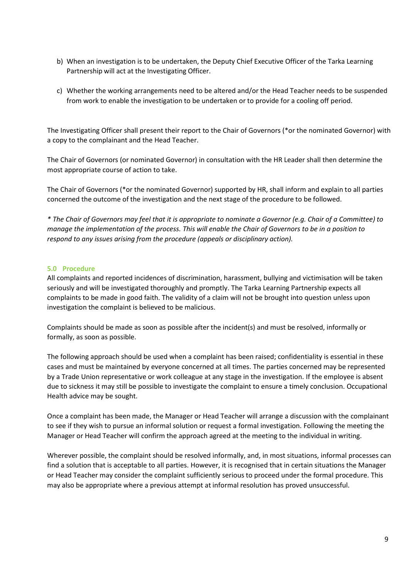- b) When an investigation is to be undertaken, the Deputy Chief Executive Officer of the Tarka Learning Partnership will act at the Investigating Officer.
- c) Whether the working arrangements need to be altered and/or the Head Teacher needs to be suspended from work to enable the investigation to be undertaken or to provide for a cooling off period.

The Investigating Officer shall present their report to the Chair of Governors (\*or the nominated Governor) with a copy to the complainant and the Head Teacher.

The Chair of Governors (or nominated Governor) in consultation with the HR Leader shall then determine the most appropriate course of action to take.

The Chair of Governors (\*or the nominated Governor) supported by HR, shall inform and explain to all parties concerned the outcome of the investigation and the next stage of the procedure to be followed.

*\* The Chair of Governors may feel that it is appropriate to nominate a Governor (e.g. Chair of a Committee) to manage the implementation of the process. This will enable the Chair of Governors to be in a position to respond to any issues arising from the procedure (appeals or disciplinary action).*

# <span id="page-8-0"></span>**5.0 Procedure**

All complaints and reported incidences of discrimination, harassment, bullying and victimisation will be taken seriously and will be investigated thoroughly and promptly. The Tarka Learning Partnership expects all complaints to be made in good faith. The validity of a claim will not be brought into question unless upon investigation the complaint is believed to be malicious.

Complaints should be made as soon as possible after the incident(s) and must be resolved, informally or formally, as soon as possible.

The following approach should be used when a complaint has been raised; confidentiality is essential in these cases and must be maintained by everyone concerned at all times. The parties concerned may be represented by a Trade Union representative or work colleague at any stage in the investigation. If the employee is absent due to sickness it may still be possible to investigate the complaint to ensure a timely conclusion. Occupational Health advice may be sought.

Once a complaint has been made, the Manager or Head Teacher will arrange a discussion with the complainant to see if they wish to pursue an informal solution or request a formal investigation. Following the meeting the Manager or Head Teacher will confirm the approach agreed at the meeting to the individual in writing.

Wherever possible, the complaint should be resolved informally, and, in most situations, informal processes can find a solution that is acceptable to all parties. However, it is recognised that in certain situations the Manager or Head Teacher may consider the complaint sufficiently serious to proceed under the formal procedure. This may also be appropriate where a previous attempt at informal resolution has proved unsuccessful.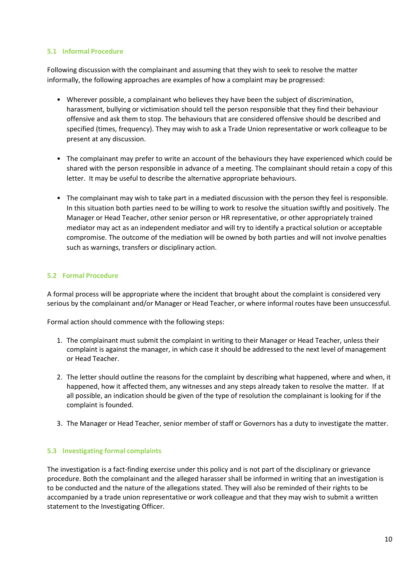## <span id="page-9-0"></span>**5.1 Informal Procedure**

Following discussion with the complainant and assuming that they wish to seek to resolve the matter informally, the following approaches are examples of how a complaint may be progressed:

- Wherever possible, a complainant who believes they have been the subject of discrimination, harassment, bullying or victimisation should tell the person responsible that they find their behaviour offensive and ask them to stop. The behaviours that are considered offensive should be described and specified (times, frequency). They may wish to ask a Trade Union representative or work colleague to be present at any discussion.
- The complainant may prefer to write an account of the behaviours they have experienced which could be shared with the person responsible in advance of a meeting. The complainant should retain a copy of this letter. It may be useful to describe the alternative appropriate behaviours.
- The complainant may wish to take part in a mediated discussion with the person they feel is responsible. In this situation both parties need to be willing to work to resolve the situation swiftly and positively. The Manager or Head Teacher, other senior person or HR representative, or other appropriately trained mediator may act as an independent mediator and will try to identify a practical solution or acceptable compromise. The outcome of the mediation will be owned by both parties and will not involve penalties such as warnings, transfers or disciplinary action.

# <span id="page-9-1"></span>**5.2 Formal Procedure**

A formal process will be appropriate where the incident that brought about the complaint is considered very serious by the complainant and/or Manager or Head Teacher, or where informal routes have been unsuccessful.

Formal action should commence with the following steps:

- 1. The complainant must submit the complaint in writing to their Manager or Head Teacher, unless their complaint is against the manager, in which case it should be addressed to the next level of management or Head Teacher.
- 2. The letter should outline the reasons for the complaint by describing what happened, where and when, it happened, how it affected them, any witnesses and any steps already taken to resolve the matter. If at all possible, an indication should be given of the type of resolution the complainant is looking for if the complaint is founded.
- 3. The Manager or Head Teacher, senior member of staff or Governors has a duty to investigate the matter.

# **5.3 Investigating formal complaints**

The investigation is a fact-finding exercise under this policy and is not part of the disciplinary or grievance procedure. Both the complainant and the alleged harasser shall be informed in writing that an investigation is to be conducted and the nature of the allegations stated. They will also be reminded of their rights to be accompanied by a trade union representative or work colleague and that they may wish to submit a written statement to the Investigating Officer.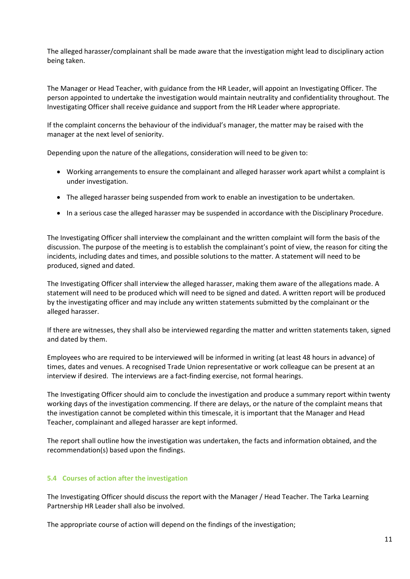The alleged harasser/complainant shall be made aware that the investigation might lead to disciplinary action being taken.

The Manager or Head Teacher, with guidance from the HR Leader, will appoint an Investigating Officer. The person appointed to undertake the investigation would maintain neutrality and confidentiality throughout. The Investigating Officer shall receive guidance and support from the HR Leader where appropriate.

If the complaint concerns the behaviour of the individual's manager, the matter may be raised with the manager at the next level of seniority.

Depending upon the nature of the allegations, consideration will need to be given to:

- Working arrangements to ensure the complainant and alleged harasser work apart whilst a complaint is under investigation.
- The alleged harasser being suspended from work to enable an investigation to be undertaken.
- In a serious case the alleged harasser may be suspended in accordance with the Disciplinary Procedure.

The Investigating Officer shall interview the complainant and the written complaint will form the basis of the discussion. The purpose of the meeting is to establish the complainant's point of view, the reason for citing the incidents, including dates and times, and possible solutions to the matter. A statement will need to be produced, signed and dated.

The Investigating Officer shall interview the alleged harasser, making them aware of the allegations made. A statement will need to be produced which will need to be signed and dated. A written report will be produced by the investigating officer and may include any written statements submitted by the complainant or the alleged harasser.

If there are witnesses, they shall also be interviewed regarding the matter and written statements taken, signed and dated by them.

Employees who are required to be interviewed will be informed in writing (at least 48 hours in advance) of times, dates and venues. A recognised Trade Union representative or work colleague can be present at an interview if desired. The interviews are a fact-finding exercise, not formal hearings.

The Investigating Officer should aim to conclude the investigation and produce a summary report within twenty working days of the investigation commencing. If there are delays, or the nature of the complaint means that the investigation cannot be completed within this timescale, it is important that the Manager and Head Teacher, complainant and alleged harasser are kept informed.

The report shall outline how the investigation was undertaken, the facts and information obtained, and the recommendation(s) based upon the findings.

#### **5.4 Courses of action after the investigation**

The Investigating Officer should discuss the report with the Manager / Head Teacher. The Tarka Learning Partnership HR Leader shall also be involved.

The appropriate course of action will depend on the findings of the investigation;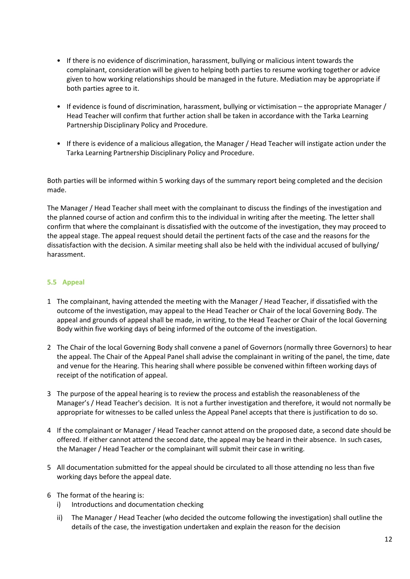- If there is no evidence of discrimination, harassment, bullying or malicious intent towards the complainant, consideration will be given to helping both parties to resume working together or advice given to how working relationships should be managed in the future. Mediation may be appropriate if both parties agree to it.
- If evidence is found of discrimination, harassment, bullying or victimisation the appropriate Manager / Head Teacher will confirm that further action shall be taken in accordance with the Tarka Learning Partnership Disciplinary Policy and Procedure.
- If there is evidence of a malicious allegation, the Manager / Head Teacher will instigate action under the Tarka Learning Partnership Disciplinary Policy and Procedure.

Both parties will be informed within 5 working days of the summary report being completed and the decision made.

The Manager / Head Teacher shall meet with the complainant to discuss the findings of the investigation and the planned course of action and confirm this to the individual in writing after the meeting. The letter shall confirm that where the complainant is dissatisfied with the outcome of the investigation, they may proceed to the appeal stage. The appeal request should detail the pertinent facts of the case and the reasons for the dissatisfaction with the decision. A similar meeting shall also be held with the individual accused of bullying/ harassment.

# <span id="page-11-0"></span>**5.5 Appeal**

- 1 The complainant, having attended the meeting with the Manager / Head Teacher, if dissatisfied with the outcome of the investigation, may appeal to the Head Teacher or Chair of the local Governing Body. The appeal and grounds of appeal shall be made, in writing, to the Head Teacher or Chair of the local Governing Body within five working days of being informed of the outcome of the investigation.
- 2 The Chair of the local Governing Body shall convene a panel of Governors (normally three Governors) to hear the appeal. The Chair of the Appeal Panel shall advise the complainant in writing of the panel, the time, date and venue for the Hearing. This hearing shall where possible be convened within fifteen working days of receipt of the notification of appeal.
- 3 The purpose of the appeal hearing is to review the process and establish the reasonableness of the Manager's / Head Teacher's decision. It is not a further investigation and therefore, it would not normally be appropriate for witnesses to be called unless the Appeal Panel accepts that there is justification to do so.
- 4 If the complainant or Manager / Head Teacher cannot attend on the proposed date, a second date should be offered. If either cannot attend the second date, the appeal may be heard in their absence. In such cases, the Manager / Head Teacher or the complainant will submit their case in writing.
- 5 All documentation submitted for the appeal should be circulated to all those attending no less than five working days before the appeal date.
- 6 The format of the hearing is:
	- i) Introductions and documentation checking
	- ii) The Manager / Head Teacher (who decided the outcome following the investigation) shall outline the details of the case, the investigation undertaken and explain the reason for the decision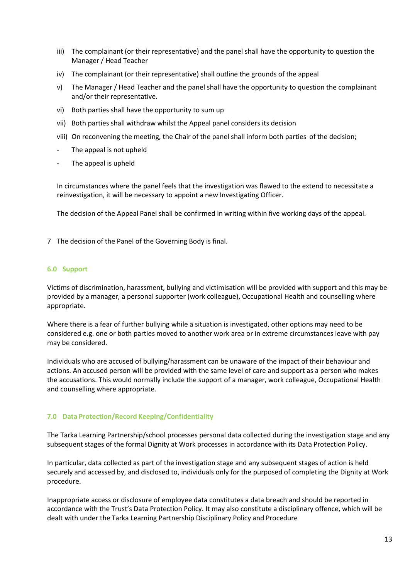- iii) The complainant (or their representative) and the panel shall have the opportunity to question the Manager / Head Teacher
- iv) The complainant (or their representative) shall outline the grounds of the appeal
- v) The Manager / Head Teacher and the panel shall have the opportunity to question the complainant and/or their representative.
- vi) Both parties shall have the opportunity to sum up
- vii) Both parties shall withdraw whilst the Appeal panel considers its decision
- viii) On reconvening the meeting, the Chair of the panel shall inform both parties of the decision;
- The appeal is not upheld
- The appeal is upheld

In circumstances where the panel feels that the investigation was flawed to the extend to necessitate a reinvestigation, it will be necessary to appoint a new Investigating Officer.

The decision of the Appeal Panel shall be confirmed in writing within five working days of the appeal.

7 The decision of the Panel of the Governing Body is final.

#### <span id="page-12-0"></span>**6.0 Support**

Victims of discrimination, harassment, bullying and victimisation will be provided with support and this may be provided by a manager, a personal supporter (work colleague), Occupational Health and counselling where appropriate.

Where there is a fear of further bullying while a situation is investigated, other options may need to be considered e.g. one or both parties moved to another work area or in extreme circumstances leave with pay may be considered.

Individuals who are accused of bullying/harassment can be unaware of the impact of their behaviour and actions. An accused person will be provided with the same level of care and support as a person who makes the accusations. This would normally include the support of a manager, work colleague, Occupational Health and counselling where appropriate.

# <span id="page-12-1"></span>**7.0 Data Protection/Record Keeping/Confidentiality**

The Tarka Learning Partnership/school processes personal data collected during the investigation stage and any subsequent stages of the formal Dignity at Work processes in accordance with its Data Protection Policy.

In particular, data collected as part of the investigation stage and any subsequent stages of action is held securely and accessed by, and disclosed to, individuals only for the purposed of completing the Dignity at Work procedure.

Inappropriate access or disclosure of employee data constitutes a data breach and should be reported in accordance with the Trust's Data Protection Policy. It may also constitute a disciplinary offence, which will be dealt with under the Tarka Learning Partnership Disciplinary Policy and Procedure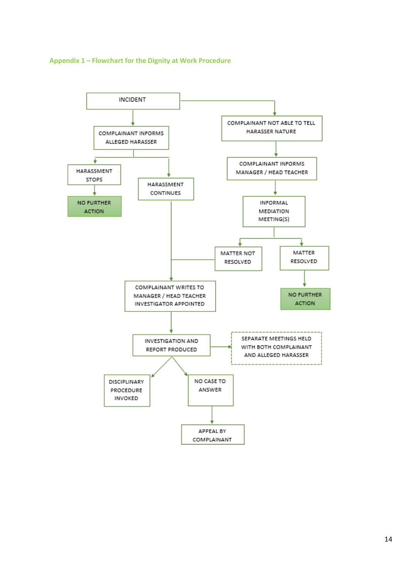<span id="page-13-0"></span>

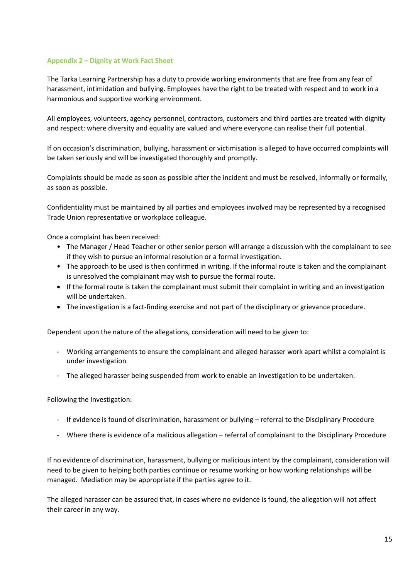# <span id="page-14-0"></span>**Appendix 2 – Dignity at Work Fact Sheet**

The Tarka Learning Partnership has a duty to provide working environments that are free from any fear of harassment, intimidation and bullying. Employees have the right to be treated with respect and to work in a harmonious and supportive working environment.

All employees, volunteers, agency personnel, contractors, customers and third parties are treated with dignity and respect: where diversity and equality are valued and where everyone can realise their full potential.

If on occasion's discrimination, bullying, harassment or victimisation is alleged to have occurred complaints will be taken seriously and will be investigated thoroughly and promptly.

Complaints should be made as soon as possible after the incident and must be resolved, informally or formally, as soon as possible.

Confidentiality must be maintained by all parties and employees involved may be represented by a recognised Trade Union representative or workplace colleague.

Once a complaint has been received:

- The Manager / Head Teacher or other senior person will arrange a discussion with the complainant to see if they wish to pursue an informal resolution or a formal investigation.
- The approach to be used is then confirmed in writing. If the informal route is taken and the complainant is unresolved the complainant may wish to pursue the formal route.
- If the formal route is taken the complainant must submit their complaint in writing and an investigation will be undertaken.
- The investigation is a fact-finding exercise and not part of the disciplinary or grievance procedure.

Dependent upon the nature of the allegations, consideration will need to be given to:

- Working arrangements to ensure the complainant and alleged harasser work apart whilst a complaint is under investigation
- The alleged harasser being suspended from work to enable an investigation to be undertaken.

Following the Investigation:

- If evidence is found of discrimination, harassment or bullying referral to the Disciplinary Procedure
- Where there is evidence of a malicious allegation referral of complainant to the Disciplinary Procedure

If no evidence of discrimination, harassment, bullying or malicious intent by the complainant, consideration will need to be given to helping both parties continue or resume working or how working relationships will be managed. Mediation may be appropriate if the parties agree to it.

The alleged harasser can be assured that, in cases where no evidence is found, the allegation will not affect their career in any way.